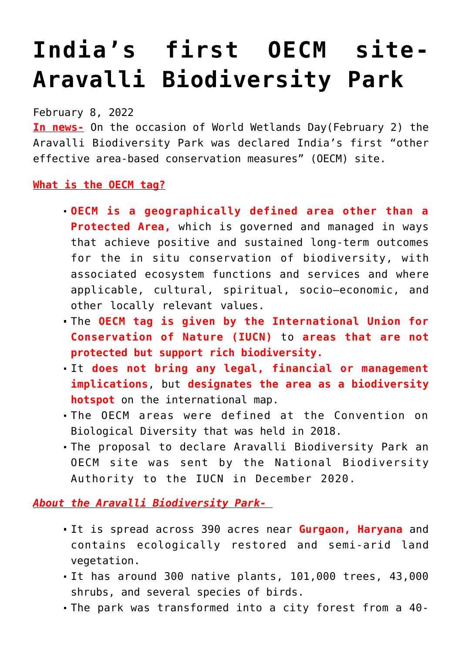## **[India's first OECM site-](https://journalsofindia.com/indias-first-oecm-site-aravalli-biodiversity-park/)[Aravalli Biodiversity Park](https://journalsofindia.com/indias-first-oecm-site-aravalli-biodiversity-park/)**

February 8, 2022

**In news-** On the occasion of World Wetlands Day(February 2) the Aravalli Biodiversity Park was declared India's first "other effective area-based conservation measures" (OECM) site.

**What is the OECM tag?**

- **OECM is a geographically defined area other than a Protected Area,** which is governed and managed in ways that achieve positive and sustained long-term outcomes for the in situ conservation of biodiversity, with associated ecosystem functions and services and where applicable, cultural, spiritual, socio–economic, and other locally relevant values.
- The **OECM tag is given by the International Union for Conservation of Nature (IUCN)** to **areas that are not protected but support rich biodiversity.**
- It **does not bring any legal, financial or management implications**, but **designates the area as a biodiversity hotspot** on the international map.
- The OECM areas were defined at the Convention on Biological Diversity that was held in 2018.
- The proposal to declare Aravalli Biodiversity Park an OECM site was sent by the National Biodiversity Authority to the IUCN in December 2020.

*About the Aravalli Biodiversity Park-*

- It is spread across 390 acres near **Gurgaon, Haryana** and contains ecologically restored and semi-arid land vegetation.
- It has around 300 native plants, 101,000 trees, 43,000 shrubs, and several species of birds.
- The park was transformed into a city forest from a 40-